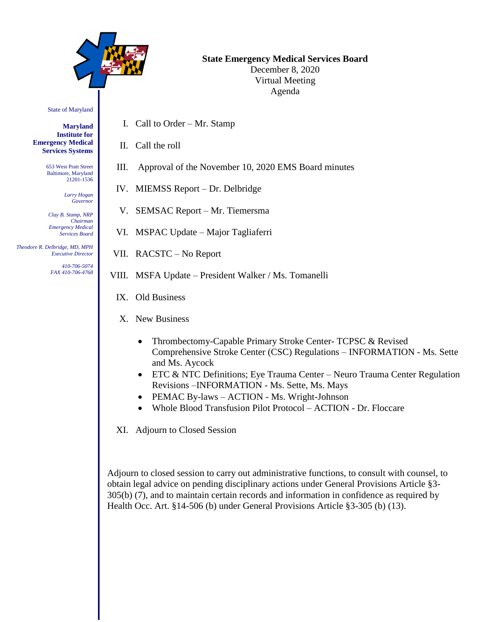

# **State Emergency Medical Services Board** December 8, 2020

Virtual Meeting Agenda

State of Maryland

**Maryland Institute for Emergency Medical Services Systems**

> 653 West Pratt Street Baltimore, Maryland 21201-1536

> > *Larry Hogan Governor*

*Clay B. Stamp, NRP Chairman Emergency Medical Services Board*

 *Theodore R. Delbridge, MD, MPH Executive Director*

> *410-706-5074 FAX 410-706-4768*

- I. Call to Order Mr. Stamp
- II. Call the roll
- III. Approval of the November 10, 2020 EMS Board minutes
- IV. MIEMSS Report Dr. Delbridge
- V. SEMSAC Report Mr. Tiemersma
- VI. MSPAC Update Major Tagliaferri
- VII. RACSTC No Report
- VIII. MSFA Update President Walker / Ms. Tomanelli
	- IX. Old Business
	- X. New Business
		- Thrombectomy-Capable Primary Stroke Center- TCPSC & Revised Comprehensive Stroke Center (CSC) Regulations – INFORMATION - Ms. Sette and Ms. Aycock
		- ETC & NTC Definitions; Eye Trauma Center Neuro Trauma Center Regulation Revisions –INFORMATION - Ms. Sette, Ms. Mays
		- PEMAC By-laws ACTION Ms. Wright-Johnson
		- Whole Blood Transfusion Pilot Protocol ACTION Dr. Floccare

XI. Adjourn to Closed Session

Adjourn to closed session to carry out administrative functions, to consult with counsel, to obtain legal advice on pending disciplinary actions under General Provisions Article §3- 305(b) (7), and to maintain certain records and information in confidence as required by Health Occ. Art. §14-506 (b) under General Provisions Article §3-305 (b) (13).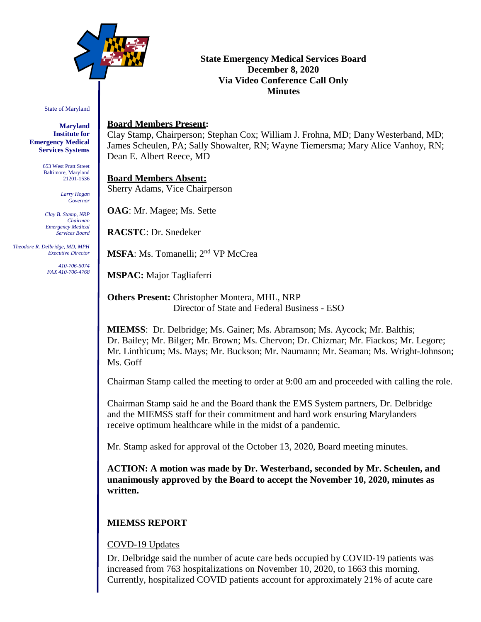

# **State Emergency Medical Services Board December 8, 2020 Via Video Conference Call Only Minutes**

#### State of Maryland

**Maryland Institute for Emergency Medical Services Systems**

> 653 West Pratt Street Baltimore, Maryland 21201-1536

> > *Larry Hogan Governor*

*Clay B. Stamp, NRP Chairman Emergency Medical Services Board*

 *Theodore R. Delbridge, MD, MPH Executive Director*

> *410-706-5074 FAX 410-706-4768*

#### **Board Members Present:**

Clay Stamp, Chairperson; Stephan Cox; William J. Frohna, MD; Dany Westerband, MD; James Scheulen, PA; Sally Showalter, RN; Wayne Tiemersma; Mary Alice Vanhoy, RN; Dean E. Albert Reece, MD

**Board Members Absent:**  Sherry Adams, Vice Chairperson

**OAG**: Mr. Magee; Ms. Sette

**RACSTC**: Dr. Snedeker

**MSFA**: Ms. Tomanelli; 2<sup>nd</sup> VP McCrea

**MSPAC:** Major Tagliaferri

**Others Present:** Christopher Montera, MHL, NRP Director of State and Federal Business - ESO

**MIEMSS**: Dr. Delbridge; Ms. Gainer; Ms. Abramson; Ms. Aycock; Mr. Balthis; Dr. Bailey; Mr. Bilger; Mr. Brown; Ms. Chervon; Dr. Chizmar; Mr. Fiackos; Mr. Legore; Mr. Linthicum; Ms. Mays; Mr. Buckson; Mr. Naumann; Mr. Seaman; Ms. Wright-Johnson; Ms. Goff

Chairman Stamp called the meeting to order at 9:00 am and proceeded with calling the role.

Chairman Stamp said he and the Board thank the EMS System partners, Dr. Delbridge and the MIEMSS staff for their commitment and hard work ensuring Marylanders receive optimum healthcare while in the midst of a pandemic.

Mr. Stamp asked for approval of the October 13, 2020, Board meeting minutes.

**ACTION: A motion was made by Dr. Westerband, seconded by Mr. Scheulen, and unanimously approved by the Board to accept the November 10, 2020, minutes as written.**

#### **MIEMSS REPORT**

#### COVD-19 Updates

Dr. Delbridge said the number of acute care beds occupied by COVID-19 patients was increased from 763 hospitalizations on November 10, 2020, to 1663 this morning. Currently, hospitalized COVID patients account for approximately 21% of acute care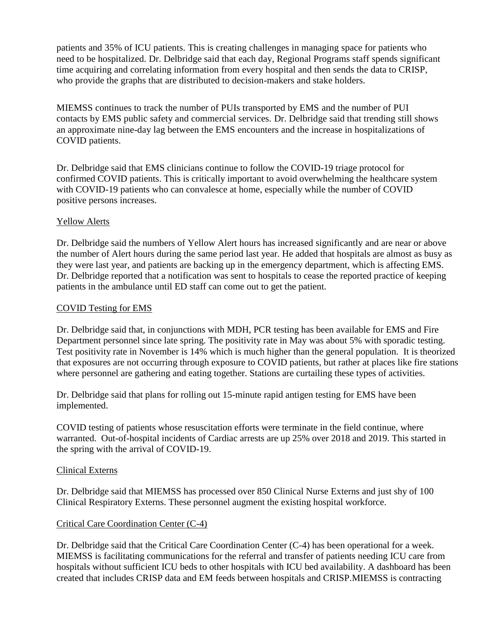patients and 35% of ICU patients. This is creating challenges in managing space for patients who need to be hospitalized. Dr. Delbridge said that each day, Regional Programs staff spends significant time acquiring and correlating information from every hospital and then sends the data to CRISP, who provide the graphs that are distributed to decision-makers and stake holders.

MIEMSS continues to track the number of PUIs transported by EMS and the number of PUI contacts by EMS public safety and commercial services. Dr. Delbridge said that trending still shows an approximate nine-day lag between the EMS encounters and the increase in hospitalizations of COVID patients.

Dr. Delbridge said that EMS clinicians continue to follow the COVID-19 triage protocol for confirmed COVID patients. This is critically important to avoid overwhelming the healthcare system with COVID-19 patients who can convalesce at home, especially while the number of COVID positive persons increases.

#### Yellow Alerts

Dr. Delbridge said the numbers of Yellow Alert hours has increased significantly and are near or above the number of Alert hours during the same period last year. He added that hospitals are almost as busy as they were last year, and patients are backing up in the emergency department, which is affecting EMS. Dr. Delbridge reported that a notification was sent to hospitals to cease the reported practice of keeping patients in the ambulance until ED staff can come out to get the patient.

#### COVID Testing for EMS

Dr. Delbridge said that, in conjunctions with MDH, PCR testing has been available for EMS and Fire Department personnel since late spring. The positivity rate in May was about 5% with sporadic testing. Test positivity rate in November is 14% which is much higher than the general population. It is theorized that exposures are not occurring through exposure to COVID patients, but rather at places like fire stations where personnel are gathering and eating together. Stations are curtailing these types of activities.

Dr. Delbridge said that plans for rolling out 15-minute rapid antigen testing for EMS have been implemented.

COVID testing of patients whose resuscitation efforts were terminate in the field continue, where warranted. Out-of-hospital incidents of Cardiac arrests are up 25% over 2018 and 2019. This started in the spring with the arrival of COVID-19.

#### Clinical Externs

Dr. Delbridge said that MIEMSS has processed over 850 Clinical Nurse Externs and just shy of 100 Clinical Respiratory Externs. These personnel augment the existing hospital workforce.

# Critical Care Coordination Center (C-4)

Dr. Delbridge said that the Critical Care Coordination Center (C-4) has been operational for a week. MIEMSS is facilitating communications for the referral and transfer of patients needing ICU care from hospitals without sufficient ICU beds to other hospitals with ICU bed availability. A dashboard has been created that includes CRISP data and EM feeds between hospitals and CRISP.MIEMSS is contracting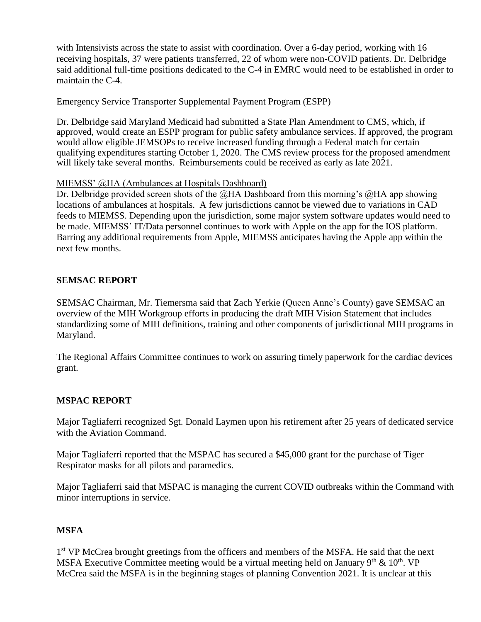with Intensivists across the state to assist with coordination. Over a 6-day period, working with 16 receiving hospitals, 37 were patients transferred, 22 of whom were non-COVID patients. Dr. Delbridge said additional full-time positions dedicated to the C-4 in EMRC would need to be established in order to maintain the C-4.

#### Emergency Service Transporter Supplemental Payment Program (ESPP)

Dr. Delbridge said Maryland Medicaid had submitted a State Plan Amendment to CMS, which, if approved, would create an ESPP program for public safety ambulance services. If approved, the program would allow eligible JEMSOPs to receive increased funding through a Federal match for certain qualifying expenditures starting October 1, 2020. The CMS review process for the proposed amendment will likely take several months. Reimbursements could be received as early as late 2021.

#### MIEMSS' @HA (Ambulances at Hospitals Dashboard)

Dr. Delbridge provided screen shots of the  $@HA$  Dashboard from this morning's  $@HA$  app showing locations of ambulances at hospitals. A few jurisdictions cannot be viewed due to variations in CAD feeds to MIEMSS. Depending upon the jurisdiction, some major system software updates would need to be made. MIEMSS' IT/Data personnel continues to work with Apple on the app for the IOS platform. Barring any additional requirements from Apple, MIEMSS anticipates having the Apple app within the next few months.

#### **SEMSAC REPORT**

SEMSAC Chairman, Mr. Tiemersma said that Zach Yerkie (Queen Anne's County) gave SEMSAC an overview of the MIH Workgroup efforts in producing the draft MIH Vision Statement that includes standardizing some of MIH definitions, training and other components of jurisdictional MIH programs in Maryland.

The Regional Affairs Committee continues to work on assuring timely paperwork for the cardiac devices grant.

# **MSPAC REPORT**

Major Tagliaferri recognized Sgt. Donald Laymen upon his retirement after 25 years of dedicated service with the Aviation Command.

Major Tagliaferri reported that the MSPAC has secured a \$45,000 grant for the purchase of Tiger Respirator masks for all pilots and paramedics.

Major Tagliaferri said that MSPAC is managing the current COVID outbreaks within the Command with minor interruptions in service.

#### **MSFA**

1<sup>st</sup> VP McCrea brought greetings from the officers and members of the MSFA. He said that the next MSFA Executive Committee meeting would be a virtual meeting held on January  $9<sup>th</sup> \& 10<sup>th</sup>$ . VP McCrea said the MSFA is in the beginning stages of planning Convention 2021. It is unclear at this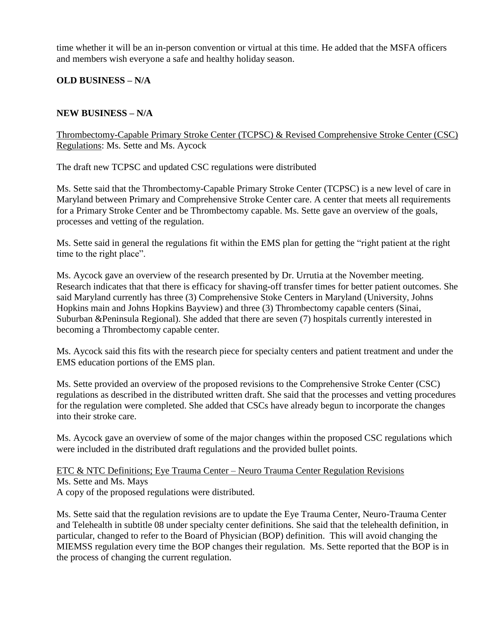time whether it will be an in-person convention or virtual at this time. He added that the MSFA officers and members wish everyone a safe and healthy holiday season.

# **OLD BUSINESS – N/A**

### **NEW BUSINESS – N/A**

Thrombectomy-Capable Primary Stroke Center (TCPSC) & Revised Comprehensive Stroke Center (CSC) Regulations: Ms. Sette and Ms. Aycock

The draft new TCPSC and updated CSC regulations were distributed

Ms. Sette said that the Thrombectomy-Capable Primary Stroke Center (TCPSC) is a new level of care in Maryland between Primary and Comprehensive Stroke Center care. A center that meets all requirements for a Primary Stroke Center and be Thrombectomy capable. Ms. Sette gave an overview of the goals, processes and vetting of the regulation.

Ms. Sette said in general the regulations fit within the EMS plan for getting the "right patient at the right time to the right place".

Ms. Aycock gave an overview of the research presented by Dr. Urrutia at the November meeting. Research indicates that that there is efficacy for shaving-off transfer times for better patient outcomes. She said Maryland currently has three (3) Comprehensive Stoke Centers in Maryland (University, Johns Hopkins main and Johns Hopkins Bayview) and three (3) Thrombectomy capable centers (Sinai, Suburban &Peninsula Regional). She added that there are seven (7) hospitals currently interested in becoming a Thrombectomy capable center.

Ms. Aycock said this fits with the research piece for specialty centers and patient treatment and under the EMS education portions of the EMS plan.

Ms. Sette provided an overview of the proposed revisions to the Comprehensive Stroke Center (CSC) regulations as described in the distributed written draft. She said that the processes and vetting procedures for the regulation were completed. She added that CSCs have already begun to incorporate the changes into their stroke care.

Ms. Aycock gave an overview of some of the major changes within the proposed CSC regulations which were included in the distributed draft regulations and the provided bullet points.

#### ETC & NTC Definitions; Eye Trauma Center – Neuro Trauma Center Regulation Revisions Ms. Sette and Ms. Mays A copy of the proposed regulations were distributed.

Ms. Sette said that the regulation revisions are to update the Eye Trauma Center, Neuro-Trauma Center and Telehealth in subtitle 08 under specialty center definitions. She said that the telehealth definition, in particular, changed to refer to the Board of Physician (BOP) definition. This will avoid changing the MIEMSS regulation every time the BOP changes their regulation. Ms. Sette reported that the BOP is in the process of changing the current regulation.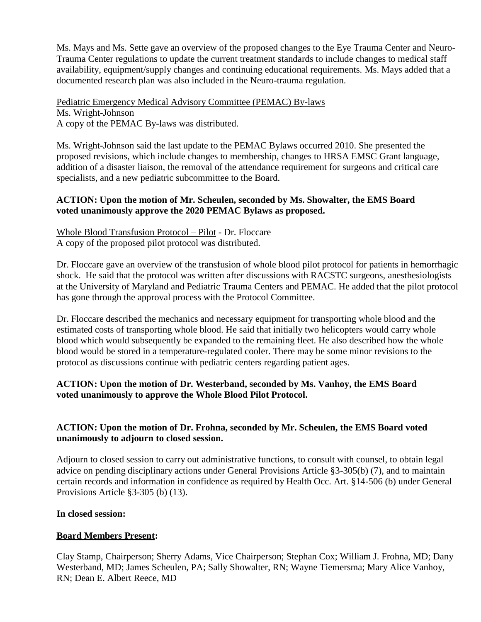Ms. Mays and Ms. Sette gave an overview of the proposed changes to the Eye Trauma Center and Neuro-Trauma Center regulations to update the current treatment standards to include changes to medical staff availability, equipment/supply changes and continuing educational requirements. Ms. Mays added that a documented research plan was also included in the Neuro-trauma regulation.

Pediatric Emergency Medical Advisory Committee (PEMAC) By-laws Ms. Wright-Johnson A copy of the PEMAC By-laws was distributed.

Ms. Wright-Johnson said the last update to the PEMAC Bylaws occurred 2010. She presented the proposed revisions, which include changes to membership, changes to HRSA EMSC Grant language, addition of a disaster liaison, the removal of the attendance requirement for surgeons and critical care specialists, and a new pediatric subcommittee to the Board.

#### **ACTION: Upon the motion of Mr. Scheulen, seconded by Ms. Showalter, the EMS Board voted unanimously approve the 2020 PEMAC Bylaws as proposed.**

Whole Blood Transfusion Protocol – Pilot - Dr. Floccare A copy of the proposed pilot protocol was distributed.

Dr. Floccare gave an overview of the transfusion of whole blood pilot protocol for patients in hemorrhagic shock. He said that the protocol was written after discussions with RACSTC surgeons, anesthesiologists at the University of Maryland and Pediatric Trauma Centers and PEMAC. He added that the pilot protocol has gone through the approval process with the Protocol Committee.

Dr. Floccare described the mechanics and necessary equipment for transporting whole blood and the estimated costs of transporting whole blood. He said that initially two helicopters would carry whole blood which would subsequently be expanded to the remaining fleet. He also described how the whole blood would be stored in a temperature-regulated cooler. There may be some minor revisions to the protocol as discussions continue with pediatric centers regarding patient ages.

# **ACTION: Upon the motion of Dr. Westerband, seconded by Ms. Vanhoy, the EMS Board voted unanimously to approve the Whole Blood Pilot Protocol.**

# **ACTION: Upon the motion of Dr. Frohna, seconded by Mr. Scheulen, the EMS Board voted unanimously to adjourn to closed session.**

Adjourn to closed session to carry out administrative functions, to consult with counsel, to obtain legal advice on pending disciplinary actions under General Provisions Article §3-305(b) (7), and to maintain certain records and information in confidence as required by Health Occ. Art. §14-506 (b) under General Provisions Article §3-305 (b) (13).

# **In closed session:**

# **Board Members Present:**

Clay Stamp, Chairperson; Sherry Adams, Vice Chairperson; Stephan Cox; William J. Frohna, MD; Dany Westerband, MD; James Scheulen, PA; Sally Showalter, RN; Wayne Tiemersma; Mary Alice Vanhoy, RN; Dean E. Albert Reece, MD